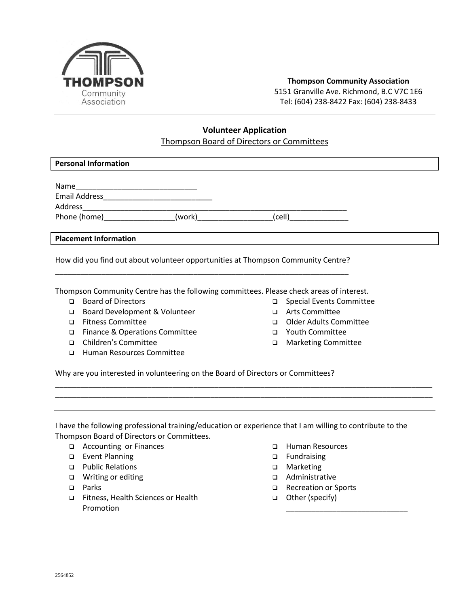

## **Thompson Community Association** 5151 Granville Ave. Richmond, B.C V7C 1E6 Tel: (604) 238-8422 Fax: (604) 238-8433

## **Volunteer Application** Thompson Board of Directors or Committees

| <b>Personal Information</b>             |        |        |  |
|-----------------------------------------|--------|--------|--|
| Name<br><b>Email Address</b><br>Address |        |        |  |
| Phone (home)_______________             | (work) | (cell) |  |
| <b>Placement Information</b>            |        |        |  |

How did you find out about volunteer opportunities at Thompson Community Centre? \_\_\_\_\_\_\_\_\_\_\_\_\_\_\_\_\_\_\_\_\_\_\_\_\_\_\_\_\_\_\_\_\_\_\_\_\_\_\_\_\_\_\_\_\_\_\_\_\_\_\_\_\_\_\_\_\_\_\_\_\_\_\_\_\_\_\_\_\_\_

Thompson Community Centre has the following committees. Please check areas of interest.

- Board of Directors
- □ Board Development & Volunteer
- Fitness Committee
- □ Finance & Operations Committee
- Children's Committee
- Human Resources Committee
- Special Events Committee
- Arts Committee
- Older Adults Committee
- Youth Committee
- Marketing Committee

Why are you interested in volunteering on the Board of Directors or Committees?

I have the following professional training/education or experience that I am willing to contribute to the Thompson Board of Directors or Committees.

\_\_\_\_\_\_\_\_\_\_\_\_\_\_\_\_\_\_\_\_\_\_\_\_\_\_\_\_\_\_\_\_\_\_\_\_\_\_\_\_\_\_\_\_\_\_\_\_\_\_\_\_\_\_\_\_\_\_\_\_\_\_\_\_\_\_\_\_\_\_\_\_\_\_\_\_\_\_\_\_\_\_\_\_\_\_\_\_\_\_ \_\_\_\_\_\_\_\_\_\_\_\_\_\_\_\_\_\_\_\_\_\_\_\_\_\_\_\_\_\_\_\_\_\_\_\_\_\_\_\_\_\_\_\_\_\_\_\_\_\_\_\_\_\_\_\_\_\_\_\_\_\_\_\_\_\_\_\_\_\_\_\_\_\_\_\_\_\_\_\_\_\_\_\_\_\_\_\_\_\_

- □ Accounting or Finances
- **Event Planning**
- □ Public Relations
- Writing or editing
- D Parks
- □ Fitness, Health Sciences or Health Promotion
- □ Human Resources
- □ Fundraising
- □ Marketing
- Administrative
- □ Recreation or Sports

\_\_\_\_\_\_\_\_\_\_\_\_\_\_\_\_\_\_\_\_\_\_\_\_\_\_\_\_\_

□ Other (specify)